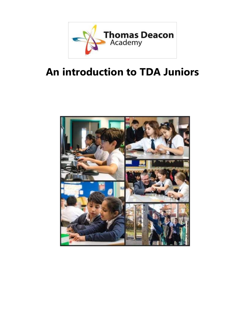

# **An introduction to TDA Juniors**

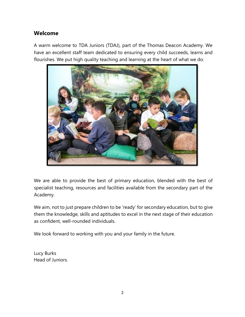#### **Welcome**

A warm welcome to TDA Juniors (TDAJ), part of the Thomas Deacon Academy. We have an excellent staff team dedicated to ensuring every child succeeds, learns and flourishes. We put high quality teaching and learning at the heart of what we do.



We are able to provide the best of primary education, blended with the best of specialist teaching, resources and facilities available from the secondary part of the Academy.

We aim, not to just prepare children to be 'ready' for secondary education, but to give them the knowledge, skills and aptitudes to excel in the next stage of their education as confident, well-rounded individuals.

We look forward to working with you and your family in the future.

Lucy Burks Head of Juniors.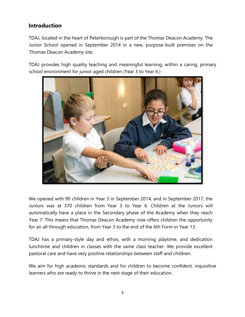#### **Introduction**

TDAJ, located in the heart of Peterborough is part of the Thomas Deacon Academy. The Junior School opened in September 2014 in a new, purpose-built premises on the Thomas Deacon Academy site.

TDAJ provides high quality teaching and meaningful learning, within a caring, primary school environment for junior aged children (Year 3 to Year 6.)



We opened with 90 children in Year 3 in September 2014, and in September 2017, the Juniors was at 370 children from Year 3 to Year 6. Children at the Juniors will automatically have a place in the Secondary phase of the Academy when they reach Year 7. This means that Thomas Deacon Academy now offers children the opportunity for an all through education, from Year 3 to the end of the 6th Form in Year 13.

TDAJ has a primary-style day and ethos, with a morning playtime, and dedication lunchtime and children in classes with the same class teacher. We provide excellent pastoral care and have very positive relationships between staff and children.

We aim for high academic standards and for children to become confident, inquisitive learners who are ready to thrive in the next stage of their education.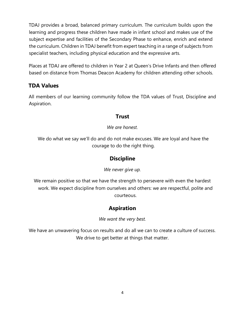TDAJ provides a broad, balanced primary curriculum. The curriculum builds upon the learning and progress these children have made in infant school and makes use of the subject expertise and facilities of the Secondary Phase to enhance, enrich and extend the curriculum. Children in TDAJ benefit from expert teaching in a range of subjects from specialist teachers, including physical education and the expressive arts.

Places at TDAJ are offered to children in Year 2 at Queen's Drive Infants and then offered based on distance from Thomas Deacon Academy for children attending other schools.

## **TDA Values**

All members of our learning community follow the TDA values of Trust, Discipline and Aspiration.

#### **Trust**

*We are honest.*

We do what we say we'll do and do not make excuses. We are loyal and have the courage to do the right thing.

#### **Discipline**

*We never give up.* 

We remain positive so that we have the strength to persevere with even the hardest work. We expect discipline from ourselves and others: we are respectful, polite and courteous.

## **Aspiration**

*We want the very best.*

We have an unwavering focus on results and do all we can to create a culture of success. We drive to get better at things that matter.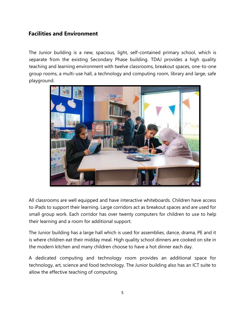#### **Facilities and Environment**

The Junior building is a new, spacious, light, self-contained primary school, which is separate from the existing Secondary Phase building. TDAJ provides a high quality teaching and learning environment with twelve classrooms, breakout spaces, one-to-one group rooms, a multi-use hall, a technology and computing room, library and large, safe playground.



All classrooms are well equipped and have interactive whiteboards. Children have access to iPads to support their learning. Large corridors act as breakout spaces and are used for small group work. Each corridor has over twenty computers for children to use to help their learning and a room for additional support.

The Junior building has a large hall which is used for assemblies, dance, drama, PE and it is where children eat their midday meal. High quality school dinners are cooked on site in the modern kitchen and many children choose to have a hot dinner each day.

A dedicated computing and technology room provides an additional space for technology, art, science and food technology. The Junior building also has an ICT suite to allow the effective teaching of computing.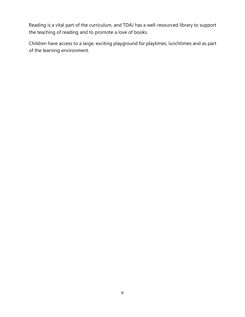Reading is a vital part of the curriculum, and TDAJ has a well-resourced library to support the teaching of reading and to promote a love of books.

Children have access to a large, exciting playground for playtimes, lunchtimes and as part of the learning environment.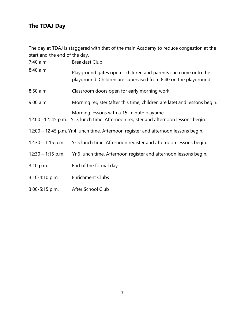# **The TDAJ Day**

The day at TDAJ is staggered with that of the main Academy to reduce congestion at the start and the end of the day.

| 7:40 a.m.                                                                           | <b>Breakfast Club</b>                                                                                                              |
|-------------------------------------------------------------------------------------|------------------------------------------------------------------------------------------------------------------------------------|
| 8:40 a.m.                                                                           | Playground gates open - children and parents can come onto the<br>playground. Children are supervised from 8:40 on the playground. |
| 8:50 a.m.                                                                           | Classroom doors open for early morning work.                                                                                       |
| 9:00 a.m.                                                                           | Morning register (after this time, children are late) and lessons begin.                                                           |
|                                                                                     | Morning lessons with a 15-minute playtime.<br>12:00 –12:45 p.m. Yr.3 lunch time. Afternoon register and afternoon lessons begin.   |
| 12:00 – 12:45 p.m. Yr.4 lunch time. Afternoon register and afternoon lessons begin. |                                                                                                                                    |
| $12:30 - 1:15$ p.m.                                                                 | Yr.5 lunch time. Afternoon register and afternoon lessons begin.                                                                   |
| $12:30 - 1:15$ p.m.                                                                 | Yr.6 lunch time. Afternoon register and afternoon lessons begin.                                                                   |
| 3:10 p.m.                                                                           | End of the formal day.                                                                                                             |
| 3:10-4:10 p.m.                                                                      | <b>Enrichment Clubs</b>                                                                                                            |

3:00-5:15 p.m. After School Club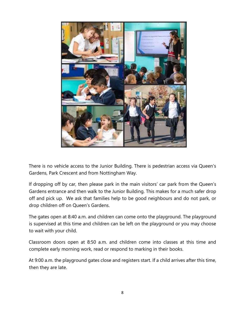

There is no vehicle access to the Junior Building. There is pedestrian access via Queen's Gardens, Park Crescent and from Nottingham Way.

If dropping off by car, then please park in the main visitors' car park from the Queen's Gardens entrance and then walk to the Junior Building. This makes for a much safer drop off and pick up. We ask that families help to be good neighbours and do not park, or drop children off on Queen's Gardens.

The gates open at 8:40 a.m. and children can come onto the playground. The playground is supervised at this time and children can be left on the playground or you may choose to wait with your child.

Classroom doors open at 8:50 a.m. and children come into classes at this time and complete early morning work, read or respond to marking in their books.

At 9:00 a.m. the playground gates close and registers start. If a child arrives after this time, then they are late.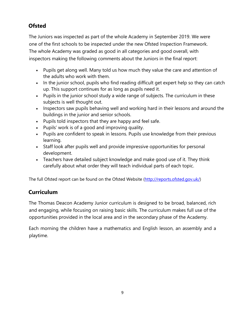# **Ofsted**

The Juniors was inspected as part of the whole Academy in September 2019. We were one of the first schools to be inspected under the new Ofsted Inspection Framework. The whole Academy was graded as good in all categories and good overall, with inspectors making the following comments about the Juniors in the final report:

- Pupils get along well. Many told us how much they value the care and attention of the adults who work with them.
- In the junior school, pupils who find reading difficult get expert help so they can catch up. This support continues for as long as pupils need it.
- Pupils in the junior school study a wide range of subjects. The curriculum in these subjects is well thought out.
- Inspectors saw pupils behaving well and working hard in their lessons and around the buildings in the junior and senior schools.
- Pupils told inspectors that they are happy and feel safe.
- Pupils' work is of a good and improving quality.
- Pupils are confident to speak in lessons. Pupils use knowledge from their previous learning.
- Staff look after pupils well and provide impressive opportunities for personal development.
- Teachers have detailed subject knowledge and make good use of it. They think carefully about what order they will teach individual parts of each topic.

The full Ofsted report can be found on the Ofsted Website [\(http://reports.ofsted.gov.uk/\)](http://reports.ofsted.gov.uk/)

## **Curriculum**

The Thomas Deacon Academy Junior curriculum is designed to be broad, balanced, rich and engaging, while focusing on raising basic skills. The curriculum makes full use of the opportunities provided in the local area and in the secondary phase of the Academy.

Each morning the children have a mathematics and English lesson, an assembly and a playtime.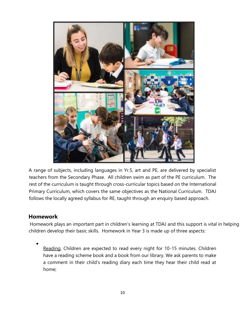

A range of subjects, including languages in Yr.5, art and PE, are delivered by specialist teachers from the Secondary Phase. All children swim as part of the PE curriculum. The rest of the curriculum is taught through cross-curricular topics based on the International Primary Curriculum, which covers the same objectives as the National Curriculum. TDAJ follows the locally agreed syllabus for RE, taught through an enquiry based approach.

#### **Homework**

Homework plays an important part in children's learning at TDAJ and this support is vital in helping children develop their basic skills. Homework in Year 3 is made up of three aspects:

• Reading. Children are expected to read every night for 10-15 minutes. Children have a reading scheme book and a book from our library. We ask parents to make a comment in their child's reading diary each time they hear their child read at home;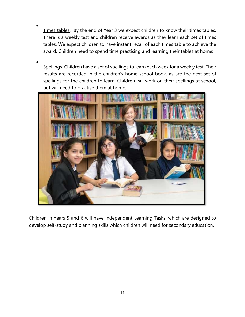- Times tables. By the end of Year 3 we expect children to know their times tables. There is a weekly test and children receive awards as they learn each set of times tables. We expect children to have instant recall of each times table to achieve the award. Children need to spend time practising and learning their tables at home;
- Spellings. Children have a set of spellings to learn each week for a weekly test. Their results are recorded in the children's home-school book, as are the next set of spellings for the children to learn. Children will work on their spellings at school, but will need to practise them at home.



Children in Years 5 and 6 will have Independent Learning Tasks, which are designed to develop self-study and planning skills which children will need for secondary education.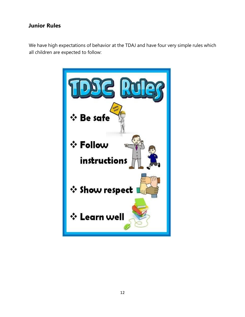#### **Junior Rules**

We have high expectations of behavior at the TDAJ and have four very simple rules which all children are expected to follow:

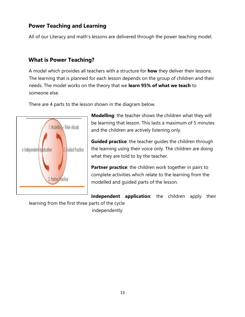## **Power Teaching and Learning**

All of our Literacy and math's lessons are delivered through the power teaching model.

#### **What is Power Teaching?**

A model which provides all teachers with a structure for **how** they deliver their lessons. The learning that is planned for each lesson depends on the group of children and their needs. The model works on the theory that we **learn 95% of what we teach** to someone else.

There are 4 parts to the lesson shown in the diagram below.



**Modelling**: the teacher shows the children what they will be learning that lesson. This lasts a maximum of 5 minutes and the children are actively listening only.

**Guided practice**: the teacher guides the children through the learning using their voice only. The children are doing what they are told to by the teacher.

**Partner practice**: the children work together in pairs to complete activities which relate to the learning from the modelled and guided parts of the lesson.

**Independent application**: the children apply their learning from the first three parts of the cycle independently.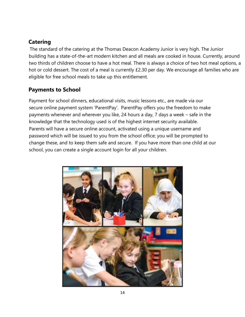## **Catering**

The standard of the catering at the Thomas Deacon Academy Junior is very high. The Junior building has a state-of-the-art modern kitchen and all meals are cooked in house. Currently, around two thirds of children choose to have a hot meal. There is always a choice of two hot meal options, a hot or cold dessert. The cost of a meal is currently £2.30 per day. We encourage all families who are eligible for free school meals to take up this entitlement.

## **Payments to School**

Payment for school dinners, educational visits, music lessons etc., are made via our secure online payment system 'ParentPay'. ParentPay offers you the freedom to make payments whenever and wherever you like, 24 hours a day, 7 days a week – safe in the knowledge that the technology used is of the highest internet security available. Parents will have a secure online account, activated using a unique username and password which will be issued to you from the school office; you will be prompted to change these, and to keep them safe and secure. If you have more than one child at our school, you can create a single account login for all your children.

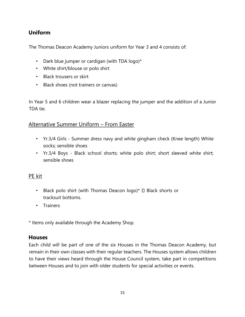## **Uniform**

The Thomas Deacon Academy Juniors uniform for Year 3 and 4 consists of:

- Dark blue jumper or cardigan (with TDA logo)\*
- White shirt/blouse or polo shirt
- Black trousers or skirt
- Black shoes (not trainers or canvas)

In Year 5 and 6 children wear a blazer replacing the jumper and the addition of a Junior TDA tie.

#### Alternative Summer Uniform – From Easter

- Yr.3/4 Girls Summer dress navy and white gingham check (Knee length) White socks; sensible shoes
- Yr.3/4 Boys Black school shorts; white polo shirt; short sleeved white shirt; sensible shoes

#### PE kit

- Black polo shirt (with Thomas Deacon logo)\*  $\Box$  Black shorts or tracksuit bottoms.
- Trainers

\* Items only available through the Academy Shop.

#### **Houses**

Each child will be part of one of the six Houses in the Thomas Deacon Academy, but remain in their own classes with their regular teachers. The Houses system allows children to have their views heard through the House Council system, take part in competitions between Houses and to join with older students for special activities or events.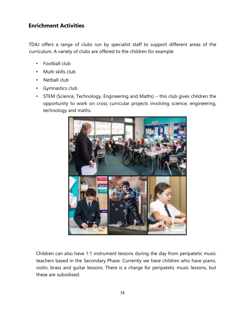#### **Enrichment Activities**

TDAJ offers a range of clubs run by specialist staff to support different areas of the curriculum. A variety of clubs are offered to the children for example:

- Football club
- Multi skills club
- Netball club
- Gymnastics club
- STEM (Science, Technology, Engineering and Maths) this club gives children the opportunity to work on cross curricular projects involving science, engineering, technology and maths.



Children can also have 1:1 instrument lessons during the day from peripatetic music teachers based in the Secondary Phase. Currently we have children who have piano, violin, brass and guitar lessons. There is a charge for peripatetic music lessons, but these are subsidised.